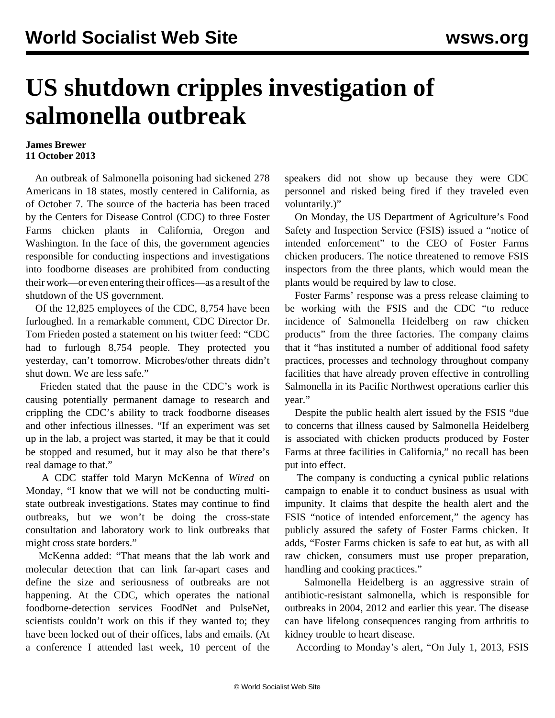## **US shutdown cripples investigation of salmonella outbreak**

## **James Brewer 11 October 2013**

 An outbreak of Salmonella poisoning had sickened 278 Americans in 18 states, mostly centered in California, as of October 7. The source of the bacteria has been traced by the Centers for Disease Control (CDC) to three Foster Farms chicken plants in California, Oregon and Washington. In the face of this, the government agencies responsible for conducting inspections and investigations into foodborne diseases are prohibited from conducting their work—or even entering their offices—as a result of the shutdown of the US government.

 Of the 12,825 employees of the CDC, 8,754 have been furloughed. In a remarkable comment, CDC Director Dr. Tom Frieden posted a statement on his twitter feed: "CDC had to furlough 8,754 people. They protected you yesterday, can't tomorrow. Microbes/other threats didn't shut down. We are less safe."

 Frieden stated that the pause in the CDC's work is causing potentially permanent damage to research and crippling the CDC's ability to track foodborne diseases and other infectious illnesses. "If an experiment was set up in the lab, a project was started, it may be that it could be stopped and resumed, but it may also be that there's real damage to that."

 A CDC staffer told Maryn McKenna of *Wired* on Monday, "I know that we will not be conducting multistate outbreak investigations. States may continue to find outbreaks, but we won't be doing the cross-state consultation and laboratory work to link outbreaks that might cross state borders."

 McKenna added: "That means that the lab work and molecular detection that can link far-apart cases and define the size and seriousness of outbreaks are not happening. At the CDC, which operates the national foodborne-detection services FoodNet and PulseNet, scientists couldn't work on this if they wanted to; they have been locked out of their offices, labs and emails. (At a conference I attended last week, 10 percent of the

speakers did not show up because they were CDC personnel and risked being fired if they traveled even voluntarily.)"

 On Monday, the US Department of Agriculture's Food Safety and Inspection Service (FSIS) issued a "notice of intended enforcement" to the CEO of Foster Farms chicken producers. The notice threatened to remove FSIS inspectors from the three plants, which would mean the plants would be required by law to close.

 Foster Farms' response was a press release claiming to be working with the FSIS and the CDC "to reduce incidence of Salmonella Heidelberg on raw chicken products" from the three factories. The company claims that it "has instituted a number of additional food safety practices, processes and technology throughout company facilities that have already proven effective in controlling Salmonella in its Pacific Northwest operations earlier this year."

 Despite the public health alert issued by the FSIS "due to concerns that illness caused by Salmonella Heidelberg is associated with chicken products produced by Foster Farms at three facilities in California," no recall has been put into effect.

 The company is conducting a cynical public relations campaign to enable it to conduct business as usual with impunity. It claims that despite the health alert and the FSIS "notice of intended enforcement," the agency has publicly assured the safety of Foster Farms chicken. It adds, "Foster Farms chicken is safe to eat but, as with all raw chicken, consumers must use proper preparation, handling and cooking practices."

 Salmonella Heidelberg is an aggressive strain of antibiotic-resistant salmonella, which is responsible for outbreaks in 2004, 2012 and earlier this year. The disease can have lifelong consequences ranging from arthritis to kidney trouble to heart disease.

According to Monday's alert, "On July 1, 2013, FSIS